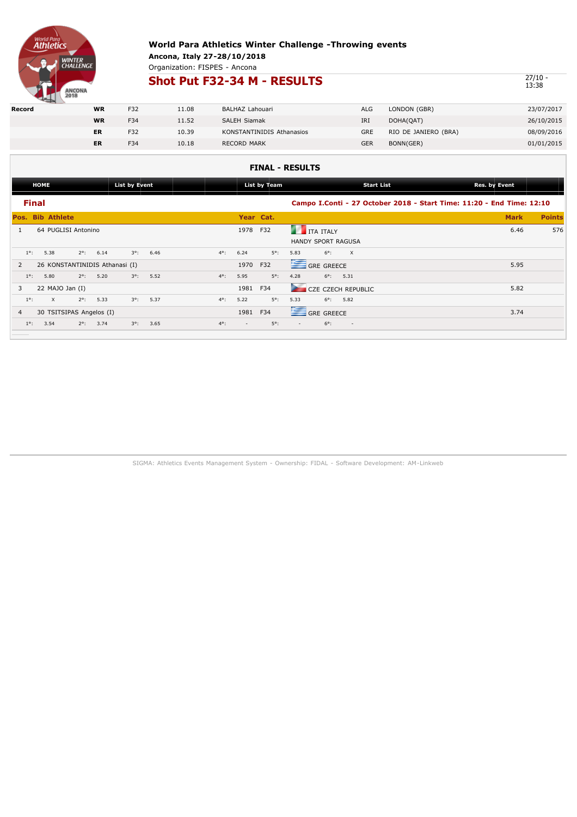

Organization: FISPES - Ancona

## **Shot Put F32-34 M - RESULTS**

 $\frac{27}{13:38}$ 

| Record | <b>WR</b> | F32 | 11.08 | BALHAZ Lahouari                  | ALG        | LONDON (GBR)         | 23/07/2017 |
|--------|-----------|-----|-------|----------------------------------|------------|----------------------|------------|
|        | <b>WR</b> | F34 | 11.52 | <b>SALEH Siamak</b>              | IRI        | DOHA(QAT)            | 26/10/2015 |
|        | ER        | F32 | 10.39 | <b>KONSTANTINIDIS Athanasios</b> | GRE        | RIO DE JANIERO (BRA) | 08/09/2016 |
|        | ER        | F34 | 10.18 | <b>RECORD MARK</b>               | <b>GER</b> | BONN(GER)            | 01/01/2015 |
|        |           |     |       |                                  |            |                      |            |

### **FINAL - RESULTS**

|                         | List by Event<br><b>HOME</b> |                                |      |             |      |             |          | List by Team | Res. by Event<br><b>Start List</b> |                                                          |                          |  |  |                                                                       |               |
|-------------------------|------------------------------|--------------------------------|------|-------------|------|-------------|----------|--------------|------------------------------------|----------------------------------------------------------|--------------------------|--|--|-----------------------------------------------------------------------|---------------|
| <b>Final</b>            |                              |                                |      |             |      |             |          |              |                                    |                                                          |                          |  |  | Campo I.Conti - 27 October 2018 - Start Time: 11:20 - End Time: 12:10 |               |
| <b>Pos. Bib Athlete</b> |                              |                                |      |             |      |             |          | Year Cat.    |                                    |                                                          |                          |  |  | <b>Mark</b>                                                           | <b>Points</b> |
|                         |                              | 64 PUGLISI Antonino            |      |             |      |             | 1978     | F32          |                                    | <b>THE TEAL SET IT ALLY</b><br><b>HANDY SPORT RAGUSA</b> |                          |  |  | 6.46                                                                  | 576           |
| $1^\circ$ :             | 5.38                         | $2^\circ$ :                    | 6.14 | $3^\circ$ : | 6.46 | $4^\circ$ : | 6.24     | $5^\circ$ :  | 5.83                               | $6^\circ$ :                                              | $\mathsf{X}$             |  |  |                                                                       |               |
| 2                       |                              | 26 KONSTANTINIDIS Athanasi (I) |      |             |      |             | 1970     | F32          |                                    | GRE GREECE                                               |                          |  |  | 5.95                                                                  |               |
| $1^\circ$ :             | 5.80                         | $2^\circ$ :                    | 5.20 | $3^\circ$ : | 5.52 | $4^\circ$ : | 5.95     | $5^\circ$ :  | 4.28                               | $6^{\circ}$ : 5.31                                       |                          |  |  |                                                                       |               |
| 3                       | 22 MAJO Jan $(I)$            |                                |      |             |      |             | 1981 F34 |              |                                    |                                                          | CZE CZECH REPUBLIC       |  |  | 5.82                                                                  |               |
| $1^\circ$ :             | $\times$                     | $2^{\circ}$ :                  | 5.33 | $3^\circ$ : | 5.37 | $4^\circ$ : | 5.22     | $5^\circ$ :  | 5.33                               | $6^{\circ}$ : 5.82                                       |                          |  |  |                                                                       |               |
| $\overline{4}$          |                              | 30 TSITSIPAS Angelos (I)       |      |             |      |             | 1981     | F34          |                                    | GRE GREECE                                               |                          |  |  | 3.74                                                                  |               |
| $1^\circ$ :             | 3.54                         | $2^\circ$ :                    | 3.74 | $3^\circ$ : | 3.65 | $4^\circ$ : | $\sim$   | $5^\circ$ :  | $\sim$                             | $6^\circ$ :                                              | $\overline{\phantom{a}}$ |  |  |                                                                       |               |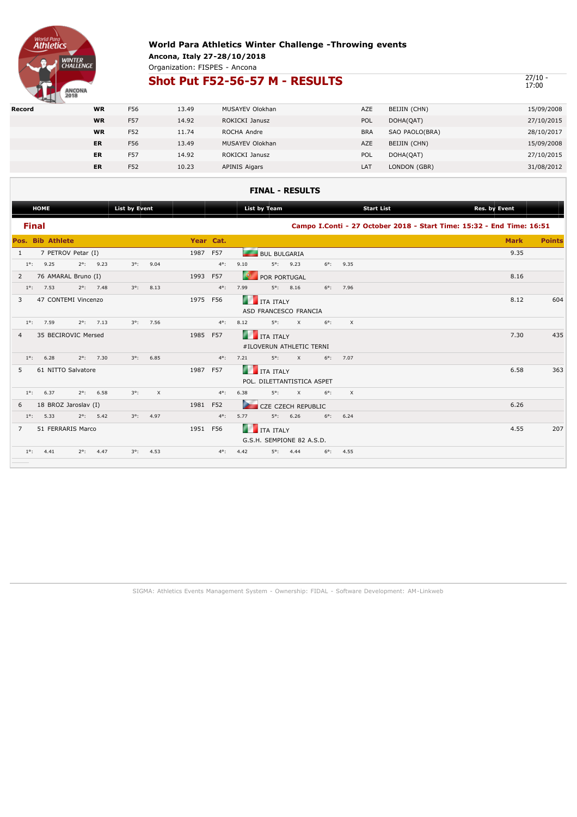

Organization: FISPES - Ancona

## **Shot Put F52-56-57 M - RESULTS**

 $\frac{27}{17:00}$ 

|        | $-$ |           |     |       |                        |            |                |            |
|--------|-----|-----------|-----|-------|------------------------|------------|----------------|------------|
| Record |     | <b>WR</b> | F56 | 13.49 | <b>MUSAYEV Olokhan</b> | AZE        | BEIJIN (CHN)   | 15/09/2008 |
|        |     | <b>WR</b> | F57 | 14.92 | ROKICKI Janusz         | POL        | DOHA(QAT)      | 27/10/2015 |
|        |     | <b>WR</b> | F52 | 11.74 | ROCHA Andre            | <b>BRA</b> | SAO PAOLO(BRA) | 28/10/2017 |
|        |     | <b>ER</b> | F56 | 13.49 | <b>MUSAYEV Olokhan</b> | AZE        | BEIJIN (CHN)   | 15/09/2008 |
|        |     | <b>ER</b> | F57 | 14.92 | ROKICKI Janusz         | POL        | DOHA(QAT)      | 27/10/2015 |
|        |     | <b>ER</b> | F52 | 10.23 | <b>APINIS Aigars</b>   | LAT        | LONDON (GBR)   | 31/08/2012 |

#### **FINAL - RESULTS**

| <b>HOME</b>             |                      |                    |               | <b>List by Event</b> |             |          | <b>List by Team</b> |               |          |                            |          | <b>Start List</b><br>Res. by Event |          |                                                                       |  |             |               |
|-------------------------|----------------------|--------------------|---------------|----------------------|-------------|----------|---------------------|---------------|----------|----------------------------|----------|------------------------------------|----------|-----------------------------------------------------------------------|--|-------------|---------------|
| <b>Final</b>            |                      |                    |               |                      |             |          |                     |               |          |                            |          |                                    |          | Campo I.Conti - 27 October 2018 - Start Time: 15:32 - End Time: 16:51 |  |             |               |
| <b>Pos. Bib Athlete</b> |                      |                    |               |                      |             |          |                     | Year Cat.     |          |                            |          |                                    |          |                                                                       |  | <b>Mark</b> | <b>Points</b> |
| 1                       |                      | 7 PETROV Petar (I) |               |                      |             |          | 1987 F57            |               |          | <b>BUL BULGARIA</b>        |          |                                    |          |                                                                       |  | 9.35        |               |
| $1^\circ$ :             | 9.25                 |                    | $2^\circ$ :   | 9.23                 | $3^\circ$ : | 9.04     |                     | $4^{\circ}$ : | 9.10     | $5^\circ$ :                | 9.23     | $6^\circ$ :                        | 9.35     |                                                                       |  |             |               |
| 2                       | 76 AMARAL Bruno (I)  |                    |               |                      |             |          | 1993                | F57           |          | POR PORTUGAL               |          |                                    |          |                                                                       |  | 8.16        |               |
| $1^\circ$ :             | 7.53                 |                    | $2^{\circ}$ : | 7.48                 | $3^\circ$ : | 8.13     |                     | $4^\circ$ :   | 7.99     | $5^\circ$ :                | 8.16     | $6^\circ$ :                        | 7.96     |                                                                       |  |             |               |
| 3                       | 47 CONTEMI Vincenzo  |                    |               |                      |             |          | 1975                | F56           | m        | ITA ITALY                  |          |                                    |          |                                                                       |  | 8.12        | 604           |
|                         |                      |                    |               |                      |             |          |                     |               |          | ASD FRANCESCO FRANCIA      |          |                                    |          |                                                                       |  |             |               |
| $1^\circ$ :             | 7.59                 |                    | $2^{\circ}$ : | 7.13                 | $3^\circ$ : | 7.56     |                     | $4^{\circ}$ : | 8.12     | $5^\circ$ :                | $\times$ | $6^\circ$ :                        | $\times$ |                                                                       |  |             |               |
| 4                       | 35 BECIROVIC Mersed  |                    |               |                      |             |          | 1985 F57            |               |          | <b>THE TEALY</b>           |          |                                    |          |                                                                       |  | 7.30        | 435           |
|                         |                      |                    |               |                      |             |          |                     |               |          | #ILOVERUN ATHLETIC TERNI   |          |                                    |          |                                                                       |  |             |               |
| $1^\circ$ :             | 6.28                 |                    | $2^\circ$ :   | 7.30                 | $3^\circ$ : | 6.85     |                     | $4^\circ$ :   | 7.21     | $5^\circ$ :                | $\times$ | $6^\circ$ :                        | 7.07     |                                                                       |  |             |               |
| 5                       | 61 NITTO Salvatore   |                    |               |                      |             |          | 1987                | <b>F57</b>    |          | <b>ITA ITALY</b>           |          |                                    |          |                                                                       |  | 6.58        | 363           |
|                         |                      |                    |               |                      |             |          |                     |               |          | POL. DILETTANTISTICA ASPET |          |                                    |          |                                                                       |  |             |               |
| $1^\circ$ :             | 6.37                 |                    | $2^\circ$ :   | 6.58                 | $3^\circ$ : | $\times$ |                     | $4^{\circ}$ : | 6.38     | $5^\circ$ :                | $\times$ | $6^\circ$ :                        | $\times$ |                                                                       |  |             |               |
| 6                       | 18 BROZ Jaroslav (I) |                    |               |                      |             |          | 1981 F52            |               | <b>A</b> | <b>CZE CZECH REPUBLIC</b>  |          |                                    |          |                                                                       |  | 6.26        |               |
| $1^{\circ}$ :           | 5.33                 |                    | $2^\circ$ :   | 5.42                 | $3^\circ$ : | 4.97     |                     | $4^\circ$ :   | 5.77     | $5^\circ$ :                | 6.26     | $6^\circ$ :                        | 6.24     |                                                                       |  |             |               |
| $\overline{7}$          | 51 FERRARIS Marco    |                    |               |                      |             |          | 1951 F56            |               | n        | <b>ITA ITALY</b>           |          |                                    |          |                                                                       |  | 4.55        | 207           |
|                         |                      |                    |               |                      |             |          |                     |               |          | G.S.H. SEMPIONE 82 A.S.D.  |          |                                    |          |                                                                       |  |             |               |
| $1^\circ$ :             | 4.41                 |                    | $2^\circ$ :   | 4.47                 | $3^\circ$ : | 4.53     |                     | $4^\circ$ :   | 4.42     | $5^\circ$ :                | 4.44     | $6^\circ$ :                        | 4.55     |                                                                       |  |             |               |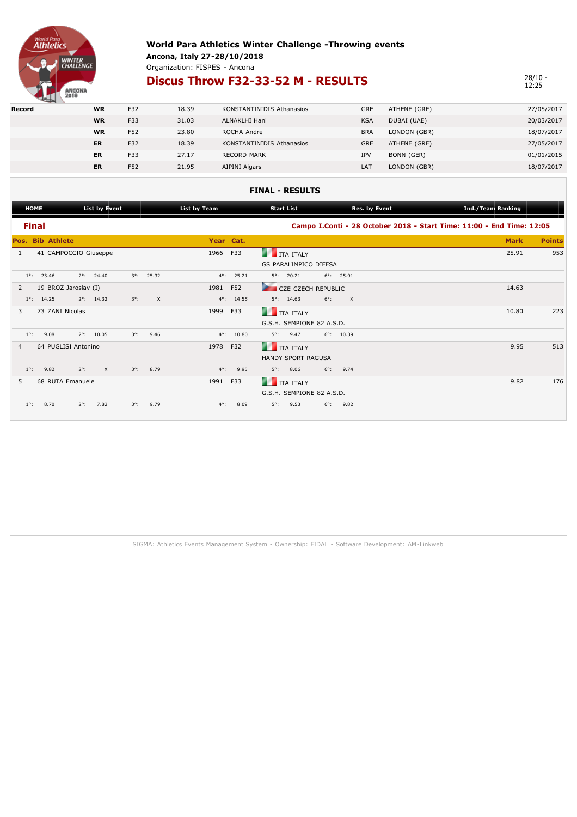

Organization: FISPES - Ancona

## **Discus Throw F32-33-52 M - RESULTS** 28/10 -

12:25

| Record | <b>WR</b> | F32 | 18.39 | KONSTANTINIDIS Athanasios | <b>GRE</b> | ATHENE (GRE) | 27/05/2017 |
|--------|-----------|-----|-------|---------------------------|------------|--------------|------------|
|        | <b>WR</b> | F33 | 31.03 | ALNAKLHI Hani             | <b>KSA</b> | DUBAI (UAE)  | 20/03/2017 |
|        | <b>WR</b> | F52 | 23.80 | ROCHA Andre               | <b>BRA</b> | LONDON (GBR) | 18/07/2017 |
|        | ER        | F32 | 18.39 | KONSTANTINIDIS Athanasios | <b>GRE</b> | ATHENE (GRE) | 27/05/2017 |
|        | ER        | F33 | 27.17 | <b>RECORD MARK</b>        | <b>IPV</b> | BONN (GER)   | 01/01/2015 |
|        | ER        | F52 | 21.95 | AIPINI Aigars             | LAT        | LONDON (GBR) | 18/07/2017 |

### **FINAL - RESULTS [HOME](http://www.fidalservizi.it/risultati/2018/WPA_Ancona_2018/Index.htm) [List by Event](http://www.fidalservizi.it/risultati/2018/WPA_Ancona_2018/ENTRYLISTBYEVENT1.htm) [List by Team](http://www.fidalservizi.it/risultati/2018/WPA_Ancona_2018/ENTRYLISTBYTEAM1.htm) [Start List](http://www.fidalservizi.it/risultati/2018/WPA_Ancona_2018/TURNIINIZIALI1.htm) [Res. by Event](http://www.fidalservizi.it/risultati/2018/WPA_Ancona_2018/RESULTSBYEVENT1.htm) [Ind./Team Ranking](http://www.fidalservizi.it/risultati/2018/WPA_Ancona_2018/INDTEAMRANKING.htm)  Final Campo I.Conti - 28 October 2018 - Start Time: 11:00 - End Time: 12:05 Pos. Bib Athlete Year Cat. Mark Points** 1 41 CAMPOCCIO Giuseppe 1966 F33 ITA ITALY 1966 F33 25.91 953 GS PARALIMPICO DIFESA 1°: 23.46 2°: 24.40 3°: 25.32 4°: 25.21 5°: 20.21 6°: 25.91 2 19 BROZ Jaroslav (I) 1981 F52 CZE CZECH REPUBLIC 14.63 1°: 14.25 2°: 14.32 3°: X 4°: 14.55 5°: 14.63 6°: X 3 73 ZANI Nicolas 1999 F33 ITA ITALY 10.80 223 G.S.H. SEMPIONE 82 A.S.D. 1°: 9.08 2°: 10.05 3°: 9.46 4°: 10.80 5°: 9.47 6°: 10.39 4 64 PUGLISI Antonino 1978 F32 ITA ITALY 9.95 513 HANDY SPORT RAGUSA 1°: 9.82 2°: X 3°: 8.79 4°: 9.95 5°: 8.06 6°: 9.74 5 68 RUTA Emanuele 1991 F33 ITA ITALY 1991 F33 ITA ITALY 176 G.S.H. SEMPIONE 82 A.S.D. 1°: 8.70 2°: 7.82 3°: 9.79 4°: 8.09 5°: 9.53 6°: 9.82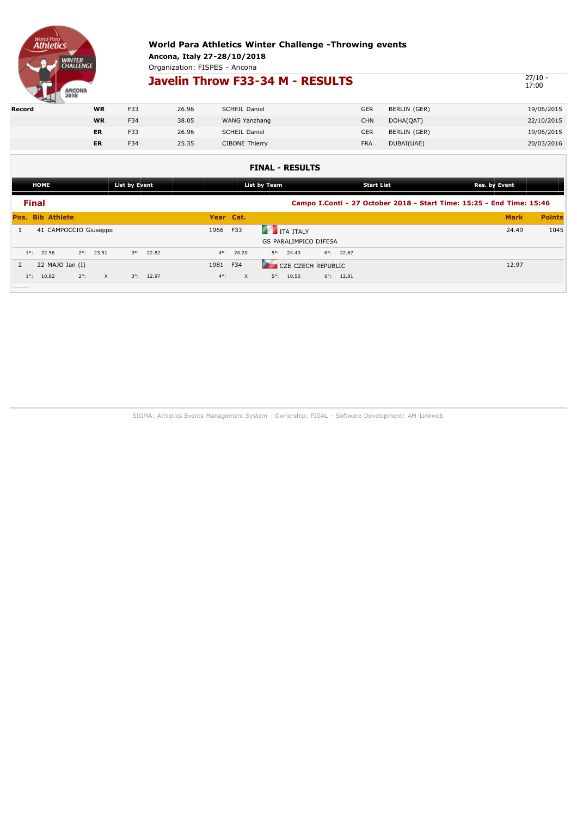

Organization: FISPES - Ancona

## **Javelin Throw F33-34 M - RESULTS**

 $\frac{27}{17:00}$ 

|        | <b>The Contract of the Contract of the Contract of the Contract of the Contract of the Contract of the Contract of the Contract of the Contract of The Contract of The Contract of The Contract of The Contract of The Contract </b> |           |     |       |                       |            |              |            |
|--------|--------------------------------------------------------------------------------------------------------------------------------------------------------------------------------------------------------------------------------------|-----------|-----|-------|-----------------------|------------|--------------|------------|
| Record |                                                                                                                                                                                                                                      | <b>WR</b> | F33 | 26.96 | <b>SCHEIL Daniel</b>  | <b>GER</b> | BERLIN (GER) | 19/06/2015 |
|        |                                                                                                                                                                                                                                      | <b>WR</b> | F34 | 38.05 | WANG Yanzhang         | CHN        | DOHA(QAT)    | 22/10/2015 |
|        |                                                                                                                                                                                                                                      | <b>ER</b> | F33 | 26.96 | <b>SCHEIL Daniel</b>  | GER        | BERLIN (GER) | 19/06/2015 |
|        |                                                                                                                                                                                                                                      | <b>ER</b> | F34 | 25.35 | <b>CIBONE Thierry</b> | <b>FRA</b> | DUBAI(UAE)   | 20/03/2016 |
|        |                                                                                                                                                                                                                                      |           |     |       |                       |            |              |            |

### **FINAL - RESULTS**

|                | <b>HOME</b>           |                         | <b>List by Event</b> |                     |             |              | List by Team                                     |                     | <b>Start List</b> |                                                                       | Res. by Event |               |  |
|----------------|-----------------------|-------------------------|----------------------|---------------------|-------------|--------------|--------------------------------------------------|---------------------|-------------------|-----------------------------------------------------------------------|---------------|---------------|--|
| <b>Final</b>   |                       |                         |                      |                     |             |              |                                                  |                     |                   | Campo I.Conti - 27 October 2018 - Start Time: 15:25 - End Time: 15:46 |               |               |  |
|                | Pos. Bib Athlete      |                         |                      |                     | Year Cat.   |              |                                                  |                     |                   |                                                                       | <b>Mark</b>   | <b>Points</b> |  |
|                | 41 CAMPOCCIO Giuseppe |                         |                      |                     | 1966        | F33          | <b>THE TEALY</b><br><b>GS PARALIMPICO DIFESA</b> |                     |                   |                                                                       | 24.49         | 1045          |  |
| $1^{\circ}$ :  | 22.56                 | $2^{\circ}$ : 23.51     |                      | $3^{\circ}$ : 22.82 | $4^\circ$ : | 24.20        | $5^\circ$ : 24.49                                | $6^{\circ}$ : 22.67 |                   |                                                                       |               |               |  |
| $\overline{2}$ | 22 $MAJO$ Jan $(I)$   |                         |                      |                     | 1981        | F34          | CZE CZECH REPUBLIC                               |                     |                   |                                                                       | 12.97         |               |  |
| $1^\circ$ :    | 10.82                 | $2^\circ$ :<br>$\times$ |                      | $3^{\circ}$ : 12.97 | $4^\circ$ : | $\mathsf{X}$ | $5^{\circ}$ : 10.50                              | $6^{\circ}$ : 12.81 |                   |                                                                       |               |               |  |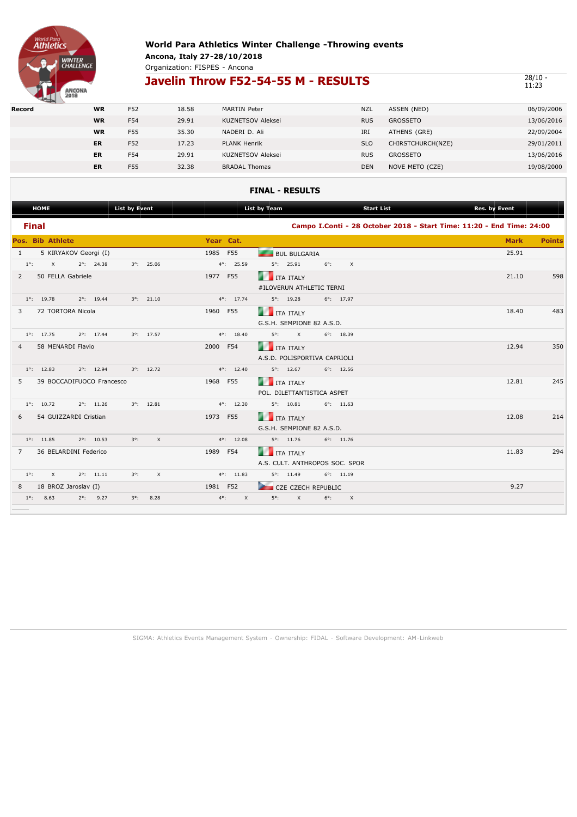

Organization: FISPES - Ancona

## **Javelin Throw F52-54-55 M - RESULTS**

28/10 -<br>11:23

| the property of the control of the |           |     |       |                          |            |                   |            |
|------------------------------------|-----------|-----|-------|--------------------------|------------|-------------------|------------|
| Record                             | <b>WR</b> | F52 | 18.58 | <b>MARTIN Peter</b>      | <b>NZL</b> | ASSEN (NED)       | 06/09/2006 |
|                                    | <b>WR</b> | F54 | 29.91 | <b>KUZNETSOV Aleksei</b> | <b>RUS</b> | <b>GROSSETO</b>   | 13/06/2016 |
|                                    | <b>WR</b> | F55 | 35.30 | NADERI D. Ali            | IRI        | ATHENS (GRE)      | 22/09/2004 |
|                                    | <b>ER</b> | F52 | 17.23 | <b>PLANK Henrik</b>      | <b>SLO</b> | CHIRSTCHURCH(NZE) | 29/01/2011 |
|                                    | <b>ER</b> | F54 | 29.91 | <b>KUZNETSOV Aleksei</b> | <b>RUS</b> | GROSSETO          | 13/06/2016 |
|                                    | <b>ER</b> | F55 | 32.38 | <b>BRADAL Thomas</b>     | <b>DEN</b> | NOVE METO (CZE)   | 19/08/2000 |
|                                    |           |     |       |                          |            |                   |            |

#### **FINAL - RESULTS**

| <b>HOME</b>                                        | <b>List by Event</b>    |                                          | <b>List by Team</b>            | <b>Start List</b>       | Res. by Event                                                         |               |
|----------------------------------------------------|-------------------------|------------------------------------------|--------------------------------|-------------------------|-----------------------------------------------------------------------|---------------|
| <b>Final</b>                                       |                         |                                          |                                |                         | Campo I.Conti - 28 October 2018 - Start Time: 11:20 - End Time: 24:00 |               |
| Pos. Bib Athlete                                   |                         | Year Cat.                                |                                |                         | <b>Mark</b>                                                           | <b>Points</b> |
| 5 KIRYAKOV Georgi (I)<br>$\mathbf{1}$              |                         | 1985 F55                                 | <b>BUL BULGARIA</b>            |                         | 25.91                                                                 |               |
| $1^\circ$ :<br>$\times$<br>$2^{\circ}$ : 24.38     | $3^{\circ}$ : 25.06     | $4^{\circ}$ : 25.59                      | $5^{\circ}$ : 25.91            | $6^\circ$ :<br>$\times$ |                                                                       |               |
| 50 FELLA Gabriele<br>$\overline{2}$                |                         | 1977 F55                                 | <b>THE TEALY</b>               |                         | 21.10                                                                 | 598           |
|                                                    |                         |                                          | #ILOVERUN ATHLETIC TERNI       |                         |                                                                       |               |
| $2^{\circ}$ : 19.44<br>$1^\circ$ : 19.78           | $3^{\circ}$ : 21.10     | $4^{\circ}$ : 17.74                      | $5^\circ$ : 19.28              | $6^{\circ}$ : 17.97     |                                                                       |               |
| 72 TORTORA Nicola<br>3                             |                         | 1960 F55                                 | <b>THE TEALY</b>               |                         | 18.40                                                                 | 483           |
|                                                    |                         |                                          | G.S.H. SEMPIONE 82 A.S.D.      |                         |                                                                       |               |
| $1^{\circ}$ : 17.75<br>$2^{\circ}$ : 17.44         | $3^{\circ}$ : 17.57     | $4^{\circ}$ : 18.40                      | $5^\circ$ :<br>$\times$        | $6^{\circ}$ : 18.39     |                                                                       |               |
| 58 MENARDI Flavio<br>4                             |                         | 2000 F54                                 | <b>THE TEAL SET OF STREET</b>  |                         | 12.94                                                                 | 350           |
|                                                    |                         |                                          | A.S.D. POLISPORTIVA CAPRIOLI   |                         |                                                                       |               |
| $2^{\circ}$ : 12.94<br>$1^\circ$ : 12.83           | $3^{\circ}$ : 12.72     | $4^{\circ}$ : 12.40                      | $5^\circ$ : 12.67              | $6^{\circ}$ : 12.56     |                                                                       |               |
| 5<br>39 BOCCADIFUOCO Francesco                     |                         | 1968 F55                                 | <b>THE TEAL SET OF STREET</b>  |                         | 12.81                                                                 | 245           |
|                                                    |                         |                                          | POL. DILETTANTISTICA ASPET     |                         |                                                                       |               |
| $2^{\circ}$ : 11.26<br>$1^\circ$ : 10.72           | $3^{\circ}$ : 12.81     | $4^{\circ}$ : 12.30                      | $5^{\circ}$ : 10.81            | $6^{\circ}$ : 11.63     |                                                                       |               |
| 54 GUIZZARDI Cristian<br>6                         |                         | 1973 F55                                 | <b>THE TEALY</b>               |                         | 12.08                                                                 | 214           |
|                                                    |                         |                                          | G.S.H. SEMPIONE 82 A.S.D.      |                         |                                                                       |               |
| $2^{\circ}$ : 10.53<br>$1^{\circ}$ : 11.85         | $3^\circ$ :<br>$\times$ | $4^{\circ}$ : 12.08                      | $5^{\circ}$ : 11.76            | $6^{\circ}$ : 11.76     |                                                                       |               |
| 36 BELARDINI Federico<br>$\overline{7}$            |                         | 1989 F54                                 | <b>THE TEAL SET OF STALY</b>   |                         | 11.83                                                                 | 294           |
|                                                    |                         |                                          | A.S. CULT. ANTHROPOS SOC. SPOR |                         |                                                                       |               |
| $1^\circ$ :<br>$\mathsf{X}$<br>$2^{\circ}$ : 11.11 | $\times$<br>$3^\circ$ : | $4^{\circ}$ : 11.83                      | $5^{\circ}$ : 11.49            | $6^{\circ}$ : 11.19     |                                                                       |               |
| 18 BROZ Jaroslav (I)<br>8                          |                         | 1981 F52                                 | CZE CZECH REPUBLIC             |                         | 9.27                                                                  |               |
| 8.63<br>$1^\circ$ :<br>$2^{\circ}$ : 9.27          | 8.28<br>$3^\circ$ :     | $4^\circ$ :<br>$\boldsymbol{\mathsf{x}}$ | $5^\circ$ :<br>$\mathsf X$     | $6^\circ$ :<br>$\times$ |                                                                       |               |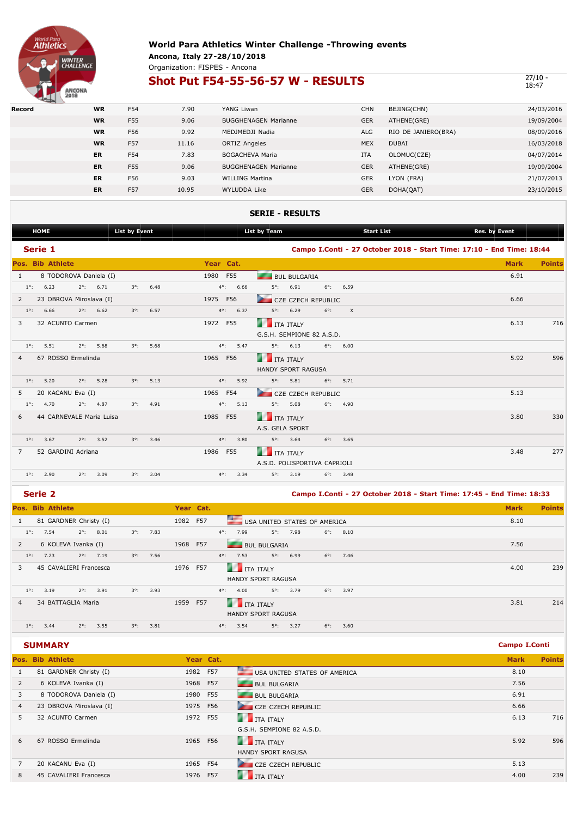

#### **World Para Athletics Winter Challenge -Throwing events Ancona, Italy 27-28/10/2018** Organization: FISPES - Ancona

## **Shot Put F54-55-56-57 W - RESULTS**

 $\frac{27}{10}$  -  $\frac{18:47}{18:47}$ 

| Record | <b>WR</b> | F54        | 7.90  | YANG Liwan                  | <b>CHN</b> | BEJING(CHN)         | 24/03/2016 |
|--------|-----------|------------|-------|-----------------------------|------------|---------------------|------------|
|        | <b>WR</b> | F55        | 9.06  | <b>BUGGHENAGEN Marianne</b> | <b>GER</b> | ATHENE(GRE)         | 19/09/2004 |
|        | <b>WR</b> | F56        | 9.92  | MEDJMEDJI Nadia             | <b>ALG</b> | RIO DE JANIERO(BRA) | 08/09/2016 |
|        | <b>WR</b> | <b>F57</b> | 11.16 | <b>ORTIZ Angeles</b>        | <b>MEX</b> | <b>DUBAI</b>        | 16/03/2018 |
|        | <b>ER</b> | F54        | 7.83  | <b>BOGACHEVA Maria</b>      | <b>ITA</b> | OLOMUC(CZE)         | 04/07/2014 |
|        | <b>ER</b> | F55        | 9.06  | <b>BUGGHENAGEN Marianne</b> | <b>GER</b> | ATHENE(GRE)         | 19/09/2004 |
|        | <b>ER</b> | F56        | 9.03  | <b>WILLING Martina</b>      | <b>GER</b> | LYON (FRA)          | 21/07/2013 |
|        | <b>ER</b> | F57        | 10.95 | WYLUDDA Like                | <b>GER</b> | DOHA(QAT)           | 23/10/2015 |

### **SERIE - RESULTS**

|                | <b>HOME</b> |                         |             |                          | <b>List by Event</b> |      |                       | List by Team                 |                     |                    |          |                                                                       | <b>Start List</b> |  |             |               |
|----------------|-------------|-------------------------|-------------|--------------------------|----------------------|------|-----------------------|------------------------------|---------------------|--------------------|----------|-----------------------------------------------------------------------|-------------------|--|-------------|---------------|
|                | Serie 1     |                         |             |                          |                      |      |                       |                              |                     |                    |          | Campo I.Conti - 27 October 2018 - Start Time: 17:10 - End Time: 18:44 |                   |  |             |               |
|                |             | <b>Pos. Bib Athlete</b> |             |                          |                      |      | Year Cat.             |                              |                     |                    |          |                                                                       |                   |  | <b>Mark</b> | <b>Points</b> |
| 1              |             |                         |             | 8 TODOROVA Daniela (I)   |                      |      | 1980 F55              |                              | <b>BUL BULGARIA</b> |                    |          |                                                                       |                   |  | 6.91        |               |
| $1^\circ$ :    | 6.23        |                         | $2^\circ$ : | 6.71                     | $3^\circ$ :          | 6.48 | $4^{\circ}$ :<br>6.66 | $5^\circ$ :                  | 6.91                | $6^\circ$ :        | 6.59     |                                                                       |                   |  |             |               |
| $\overline{2}$ |             |                         |             | 23 OBROVA Miroslava (I)  |                      |      | 1975 F56              |                              |                     | CZE CZECH REPUBLIC |          |                                                                       |                   |  | 6.66        |               |
| $1^\circ$ :    | 6.66        |                         | $2^\circ$ : | 6.62                     | $3^\circ$ :          | 6.57 | $4^{\circ}$ :<br>6.37 | $5^\circ$ :                  | 6.29                | $6^\circ$ :        | $\times$ |                                                                       |                   |  |             |               |
| 3              |             | 32 ACUNTO Carmen        |             |                          |                      |      | 1972 F55              | <b>THE TEALY</b>             |                     |                    |          |                                                                       |                   |  | 6.13        | 716           |
|                |             |                         |             |                          |                      |      |                       | G.S.H. SEMPIONE 82 A.S.D.    |                     |                    |          |                                                                       |                   |  |             |               |
| $1^\circ$ :    | 5.51        |                         | $2^\circ$ : | 5.68                     | $3^\circ$ :          | 5.68 | $4^{\circ}$ :<br>5.47 | $5^\circ$ :                  | 6.13                | $6^\circ$ :        | 6.00     |                                                                       |                   |  |             |               |
| $\overline{4}$ |             | 67 ROSSO Ermelinda      |             |                          |                      |      | 1965 F56              | r.                           | <b>ITA ITALY</b>    |                    |          |                                                                       |                   |  | 5.92        | 596           |
|                |             |                         |             |                          |                      |      |                       | <b>HANDY SPORT RAGUSA</b>    |                     |                    |          |                                                                       |                   |  |             |               |
| $1^\circ$ :    | 5.20        |                         | $2^\circ$ : | 5.28                     | $3^\circ$ :          | 5.13 | $4^{\circ}$ :<br>5.92 | $5^\circ$ :                  | 5.81                | $6^\circ$ :        | 5.71     |                                                                       |                   |  |             |               |
| 5              |             | 20 KACANU Eva (I)       |             |                          |                      |      | 1965 F54              |                              |                     | CZE CZECH REPUBLIC |          |                                                                       |                   |  | 5.13        |               |
| $1^{\circ}$ :  | 4.70        |                         | $2^\circ$ : | 4.87                     | $3^\circ$ :          | 4.91 | 5.13<br>$4^{\circ}$ : | $5^\circ$ :                  | 5.08                | $6^\circ$ :        | 4.90     |                                                                       |                   |  |             |               |
| 6              |             |                         |             | 44 CARNEVALE Maria Luisa |                      |      | 1985 F55              | 77                           | <b>ITA ITALY</b>    |                    |          |                                                                       |                   |  | 3.80        | 330           |
|                |             |                         |             |                          |                      |      |                       | A.S. GELA SPORT              |                     |                    |          |                                                                       |                   |  |             |               |
| $1^\circ$ :    | 3.67        |                         | $2^\circ$ : | 3.52                     | $3^\circ$ :          | 3.46 | $4^{\circ}$ :<br>3.80 | $5^\circ$ :                  | 3.64                | $6^\circ$ :        | 3.65     |                                                                       |                   |  |             |               |
| $\overline{7}$ |             | 52 GARDINI Adriana      |             |                          |                      |      | 1986<br><b>F55</b>    | <b>THE TEALY</b>             |                     |                    |          |                                                                       |                   |  | 3.48        | 277           |
|                |             |                         |             |                          |                      |      |                       | A.S.D. POLISPORTIVA CAPRIOLI |                     |                    |          |                                                                       |                   |  |             |               |
| $1^\circ$ :    | 2.90        |                         | $2^\circ$ : | 3.09                     | $3^\circ$ :          | 3.04 | $4^\circ$ :<br>3.34   | $5^\circ$ :                  | 3.19                | $6^\circ$ :        | 3.48     |                                                                       |                   |  |             |               |
|                |             |                         |             |                          |                      |      |                       |                              |                     |                    |          |                                                                       |                   |  |             |               |

### **Serie 2 Campo I.Conti - 27 October 2018 - Start Time: 17:45 - End Time: 18:33**

|              |             | <b>Pos. Bib Athlete</b> |               |                    |                    |      | Year Cat. |               |                             |           |                              |             |                    |  | <b>Mark</b> | <b>Points</b> |
|--------------|-------------|-------------------------|---------------|--------------------|--------------------|------|-----------|---------------|-----------------------------|-----------|------------------------------|-------------|--------------------|--|-------------|---------------|
| $\mathbf{1}$ |             | 81 GARDNER Christy (I)  |               |                    |                    |      | 1982 F57  |               |                             |           | USA UNITED STATES OF AMERICA |             |                    |  | 8.10        |               |
|              | $1^\circ$ : | 7.54                    | $2^{\circ}$ : | 8.01               | $3^\circ$ :        | 7.83 |           | $4^\circ$ :   | 7.99                        |           | $5^{\circ}$ : 7.98           |             | $6^{\circ}$ : 8.10 |  |             |               |
| 2            |             | 6 KOLEVA Ivanka (I)     |               |                    |                    |      | 1968 F57  |               | <b>BUL BULGARIA</b>         |           |                              |             |                    |  | 7.56        |               |
|              | $1^\circ$ : | 7.23                    | $2^{\circ}$ : | 7.19               | $3^\circ$ :        | 7.56 |           | $4^{\circ}$ : | 7.53                        |           | $5^{\circ}$ : 6.99           |             | $6^{\circ}$ : 7.46 |  |             |               |
| 3            |             | 45 CAVALIERI Francesca  |               |                    |                    |      | 1976 F57  |               | <b>THE TEAL SET IT ALLY</b> |           |                              |             |                    |  | 4.00        | 239           |
|              |             |                         |               |                    |                    |      |           |               | <b>HANDY SPORT RAGUSA</b>   |           |                              |             |                    |  |             |               |
|              | $1^\circ$ : | 3.19                    |               | $2^{\circ}$ : 3.91 | $3^{\circ}$ : 3.93 |      |           | $4^{\circ}$ : | 4.00                        |           | $5^\circ$ : 3.79             |             | $6^{\circ}$ : 3.97 |  |             |               |
| 4            |             | 34 BATTAGLIA Maria      |               |                    |                    |      | 1959 F57  |               | <b>COLOR</b>                | ITA ITALY |                              |             |                    |  | 3.81        | 214           |
|              |             |                         |               |                    |                    |      |           |               | <b>HANDY SPORT RAGUSA</b>   |           |                              |             |                    |  |             |               |
|              | $1^\circ$ : | 3.44                    | $2^\circ$ :   | 3.55               | $3^\circ$ :        | 3.81 |           | $4^\circ$ :   | 3.54                        |           | $5^{\circ}$ : 3.27           | $6^\circ$ : | 3.60               |  |             |               |

#### **SUMMARY Campo I.Conti**

|                         |                  |     |                                                                                     | <b>Mark</b> | <b>Points</b> |
|-------------------------|------------------|-----|-------------------------------------------------------------------------------------|-------------|---------------|
| 81 GARDNER Christy (I)  |                  |     | USA UNITED STATES OF AMERICA                                                        | 8.10        |               |
| 6 KOLEVA Ivanka (I)     |                  |     | <b>BUL BULGARIA</b>                                                                 | 7.56        |               |
| 8 TODOROVA Daniela (I)  | 1980             |     | <b>BUL BULGARIA</b>                                                                 | 6.91        |               |
| 23 OBROVA Miroslava (I) |                  |     | CZE CZECH REPUBLIC                                                                  | 6.66        |               |
| 32 ACUNTO Carmen        | 1972             |     | $\blacksquare$ ITA ITALY                                                            | 6.13        | 716           |
|                         |                  |     | G.S.H. SEMPIONE 82 A.S.D.                                                           |             |               |
| 67 ROSSO Ermelinda      |                  |     | <b>ITA ITALY</b>                                                                    | 5.92        | 596           |
|                         |                  |     | <b>HANDY SPORT RAGUSA</b>                                                           |             |               |
| 20 KACANU Eva (I)       |                  |     | <b>CZE CZECH REPUBLIC</b>                                                           | 5.13        |               |
| 45 CAVALIERI Francesca  | 1976             | F57 | <b>ITA ITALY</b>                                                                    | 4.00        | 239           |
|                         | Pos. Bib Athlete |     | Year Cat.<br>1982 F57<br>1968 F57<br>F55<br>1975 F56<br>F55<br>1965 F56<br>1965 F54 |             |               |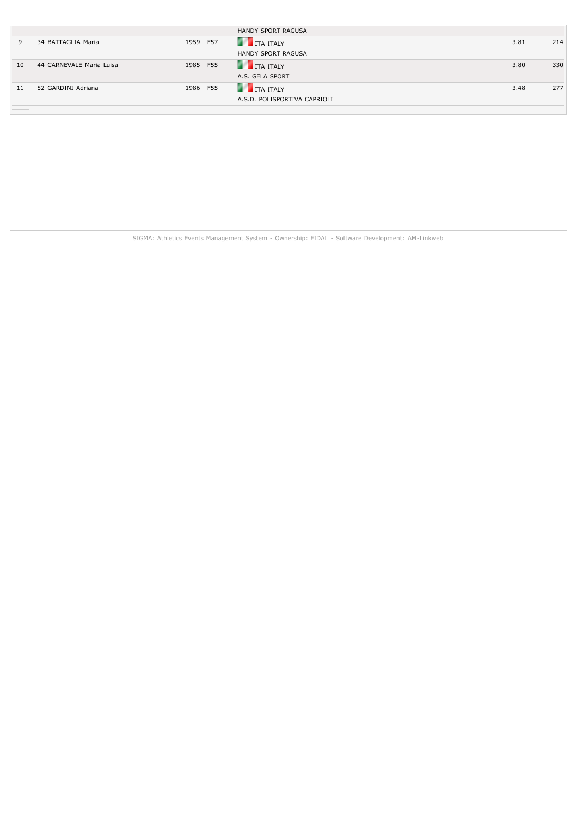|    |                          |          | HANDY SPORT RAGUSA           |      |     |
|----|--------------------------|----------|------------------------------|------|-----|
| 9  | 34 BATTAGLIA Maria       | 1959 F57 | <b>THE TEALY</b>             | 3.81 | 214 |
|    |                          |          | HANDY SPORT RAGUSA           |      |     |
| 10 | 44 CARNEVALE Maria Luisa | 1985 F55 | <b>THE TEALY</b>             | 3.80 | 330 |
|    |                          |          | A.S. GELA SPORT              |      |     |
| 11 | 52 GARDINI Adriana       | 1986 F55 | <b>THE TRAITALY</b>          | 3.48 | 277 |
|    |                          |          | A.S.D. POLISPORTIVA CAPRIOLI |      |     |
|    |                          |          |                              |      |     |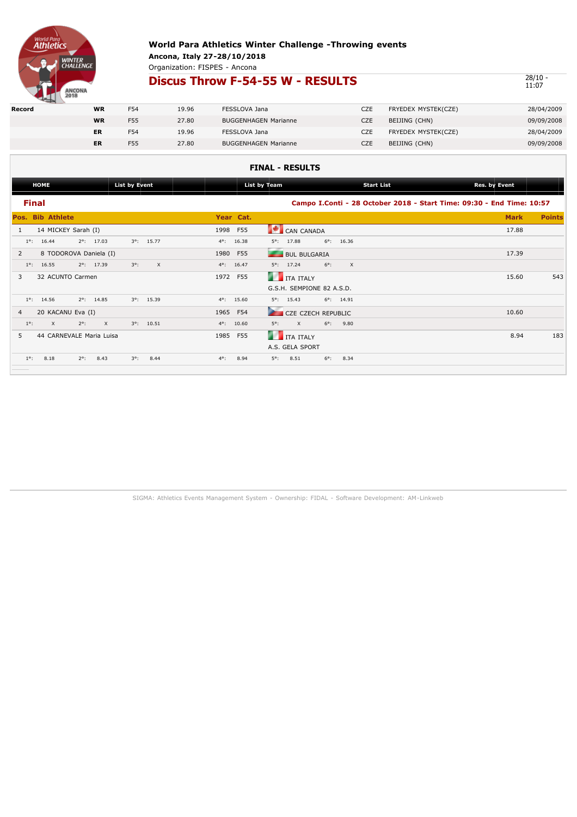

Organization: FISPES - Ancona

## **Discus Throw F-54-55 W - RESULTS**

 $\frac{28}{10}$  - 11:07

| Record | <b>WR</b> | F54 | 19.96 | FESSLOVA Jana               | CZE | FRYEDEX MYSTEK(CZE) | 28/04/2009 |
|--------|-----------|-----|-------|-----------------------------|-----|---------------------|------------|
|        | <b>WR</b> | F55 | 27.80 | <b>BUGGENHAGEN Marianne</b> | CZE | BEIJING (CHN)       | 09/09/2008 |
|        | ER        | F54 | 19.96 | FESSLOVA Jana               | CZE | FRYEDEX MYSTEK(CZE) | 28/04/2009 |
|        | ER        | F55 | 27.80 | <b>BUGGENHAGEN Marianne</b> | CZE | BEIJING (CHN)       | 09/09/2008 |
|        |           |     |       |                             |     |                     |            |

### **FINAL - RESULTS**

|                | <b>HOME</b>             |                          | <b>List by Event</b> |                     |               |                     | List by Team                        |             | <b>Start List</b>   | <b>Res. by Event</b>                                                  |               |
|----------------|-------------------------|--------------------------|----------------------|---------------------|---------------|---------------------|-------------------------------------|-------------|---------------------|-----------------------------------------------------------------------|---------------|
|                | <b>Final</b>            |                          |                      |                     |               |                     |                                     |             |                     | Campo I.Conti - 28 October 2018 - Start Time: 09:30 - End Time: 10:57 |               |
|                | <b>Pos. Bib Athlete</b> |                          |                      |                     |               | Year Cat.           |                                     |             |                     | <b>Mark</b>                                                           | <b>Points</b> |
| 1              | 14 MICKEY Sarah (I)     |                          |                      |                     |               | 1998 F55            | <b>A</b><br>CAN CANADA              |             |                     | 17.88                                                                 |               |
| $1^\circ$ :    | 16.44                   | $2^{\circ}$ : 17.03      | $3^\circ$ :          | 15.77               | $4^{\circ}$ : | 16.38               | 17.88<br>$5^\circ$ :                | $6^\circ$ : | 16.36               |                                                                       |               |
| $\overline{2}$ |                         | 8 TODOROVA Daniela (I)   |                      |                     | 1980          | F55                 | --<br><b>BUL BULGARIA</b>           |             |                     | 17.39                                                                 |               |
| $1^\circ$ :    | 16.55                   | $2^{\circ}$ : 17.39      | $3^\circ$ :          | X                   |               | $4^{\circ}$ : 16.47 | $5^{\circ}$ : 17.24                 | $6^\circ$ : | $\times$            |                                                                       |               |
| 3              | 32 ACUNTO Carmen        |                          |                      |                     |               | 1972 F55            | <b>ITA ITALY</b>                    |             |                     | 15.60                                                                 | 543           |
|                |                         |                          |                      |                     |               |                     | G.S.H. SEMPIONE 82 A.S.D.           |             |                     |                                                                       |               |
|                | $1^{\circ}$ : 14.56     | $2^{\circ}$ : 14.85      |                      | $3^{\circ}$ : 15.39 |               | $4^{\circ}$ : 15.60 | 15.43<br>$5^\circ$ :                |             | $6^{\circ}$ : 14.91 |                                                                       |               |
| $\overline{4}$ | 20 KACANU Eva (I)       |                          |                      |                     |               | 1965 F54            | CZE CZECH REPUBLIC                  |             |                     | 10.60                                                                 |               |
| $1^\circ$ :    | $\times$                | $2^\circ$ :<br>$\times$  |                      | $3^{\circ}$ : 10.51 | $4^\circ$ :   | 10.60               | $5^\circ$ :<br>$\times$             | $6^\circ$ : | 9.80                |                                                                       |               |
| 5              |                         | 44 CARNEVALE Maria Luisa |                      |                     |               | 1985 F55            | <b>CONTRACT</b><br><b>ITA ITALY</b> |             |                     | 8.94                                                                  | 183           |
|                |                         |                          |                      |                     |               |                     | A.S. GELA SPORT                     |             |                     |                                                                       |               |
| $1^\circ$ :    | 8.18                    | $2^\circ$ :<br>8.43      | $3^\circ$ :          | 8.44                | $4^\circ$ :   | 8.94                | 8.51<br>$5^\circ$ :                 | $6^\circ$ : | 8.34                |                                                                       |               |
|                |                         |                          |                      |                     |               |                     |                                     |             |                     |                                                                       |               |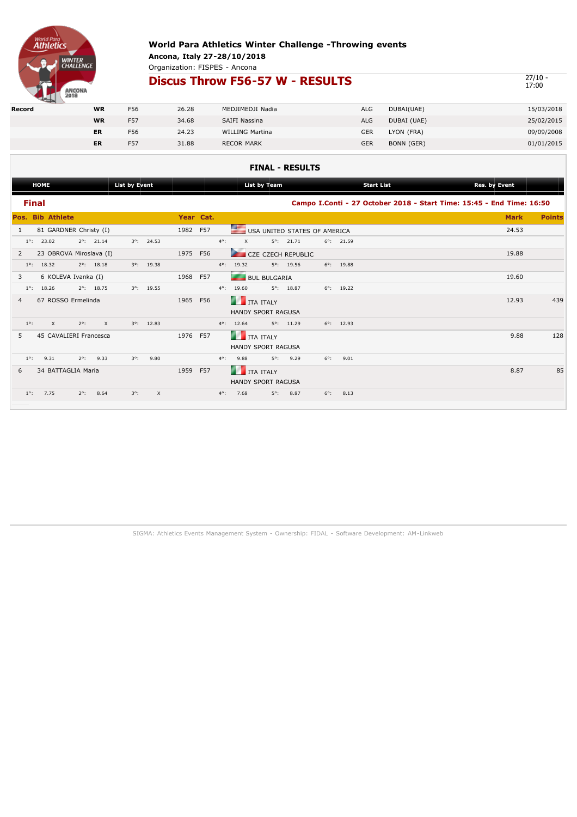

Organization: FISPES - Ancona

## **Discus Throw F56-57 W - RESULTS**

 $\frac{27}{17:00}$ 

| <b>PERSONAL PROPERTY</b> |           |            |       |                        |     |             |            |
|--------------------------|-----------|------------|-------|------------------------|-----|-------------|------------|
| Record                   | <b>WR</b> | F56        | 26.28 | MEDJIMEDJI Nadia       | ALG | DUBAI(UAE)  | 15/03/2018 |
|                          | <b>WR</b> | <b>F57</b> | 34.68 | SAIFI Nassina          | ALG | DUBAI (UAE) | 25/02/2015 |
|                          | ER        | F56        | 24.23 | <b>WILLING Martina</b> | GER | LYON (FRA)  | 09/09/2008 |
|                          | ER        | F57        | 31.88 | <b>RECOR MARK</b>      | GER | BONN (GER)  | 01/01/2015 |
|                          |           |            |       |                        |     |             |            |

### **FINAL - RESULTS**

| <b>List by Event</b><br><b>HOME</b>                                             | List by Team                                   | <b>Start List</b>                                                     | Res. by Event                |
|---------------------------------------------------------------------------------|------------------------------------------------|-----------------------------------------------------------------------|------------------------------|
| <b>Final</b>                                                                    |                                                | Campo I.Conti - 27 October 2018 - Start Time: 15:45 - End Time: 16:50 |                              |
| <b>Pos. Bib Athlete</b>                                                         | Year Cat.                                      |                                                                       | <b>Mark</b><br><b>Points</b> |
| 81 GARDNER Christy (I)<br>$\mathbf{1}$                                          | 1982 F57                                       | USA UNITED STATES OF AMERICA                                          | 24.53                        |
| $3^{\circ}$ : 24.53<br>$1^\circ$ :<br>23.02<br>$2^{\circ}$ : 21.14              | $4^\circ$ :<br>$\times$<br>$5^{\circ}$ : 21.71 | $6^{\circ}$ : 21.59                                                   |                              |
| 23 OBROVA Miroslava (I)<br>2                                                    | 1975 F56<br>CZE CZECH REPUBLIC                 |                                                                       | 19.88                        |
| $1^\circ$ :<br>18.32<br>$2^{\circ}$ : 18.18<br>$3^{\circ}$ : 19.38              | 19.32<br>$5^{\circ}$ : 19.56<br>$4^\circ$ :    | 19.88<br>$6^\circ$ :                                                  |                              |
| 6 KOLEVA Ivanka (I)<br>3                                                        | 1968 F57<br>--<br><b>BUL BULGARIA</b>          |                                                                       | 19.60                        |
| $2^{\circ}$ : 18.75<br>$3^{\circ}$ : 19.55<br>$1^\circ$ :<br>18.26              | 19.60<br>$5^{\circ}$ : 18.87<br>$4^\circ$ :    | $6^{\circ}$ : 19.22                                                   |                              |
| 67 ROSSO Ermelinda<br>4                                                         | 1965 F56<br><b>THE TEAL SET IT ALLY</b>        |                                                                       | 439<br>12.93                 |
|                                                                                 | <b>HANDY SPORT RAGUSA</b>                      |                                                                       |                              |
| $1^{\circ}$ :<br>$\times$<br>$2^\circ$ :<br>$3^{\circ}$ : 12.83<br>$\mathsf{X}$ | 12.64<br>$5^{\circ}$ : 11.29<br>$4^{\circ}$ :  | $6^{\circ}$ : 12.93                                                   |                              |
| 45 CAVALIERI Francesca<br>5                                                     | 1976 F57<br><b>ITA ITALY</b>                   |                                                                       | 128<br>9.88                  |
|                                                                                 | <b>HANDY SPORT RAGUSA</b>                      |                                                                       |                              |
| 9.33<br>$1^\circ$ :<br>9.31<br>$2^\circ$ :<br>$3^\circ$ :<br>9.80               | $5^\circ$ :<br>9.29<br>$4^\circ$ :<br>9.88     | $6^\circ$ :<br>9.01                                                   |                              |
| 34 BATTAGLIA Maria<br>6                                                         | 1959 F57<br><b>THE TEALY</b>                   |                                                                       | 85<br>8.87                   |
|                                                                                 | HANDY SPORT RAGUSA                             |                                                                       |                              |
| $1^\circ$ :<br>7.75<br>8.64<br>$2^\circ$ :<br>$3^\circ$ :<br>X                  | 8.87<br>$4^\circ$ :<br>7.68<br>$5^\circ$ :     | $6^\circ$ :<br>8.13                                                   |                              |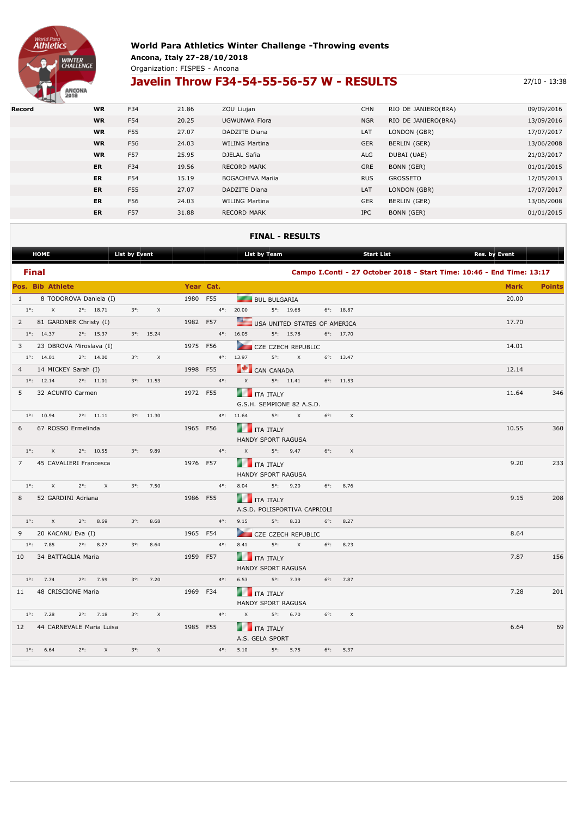

### **World Para Athletics Winter Challenge -Throwing events Ancona, Italy 27-28/10/2018** Organization: FISPES - Ancona

# **Javelin Throw F34-54-55-56-57 W - RESULTS** 27/10 - 13:38

| Record | <b>WR</b> | F34 | 21.86 | ZOU Liujan              | <b>CHN</b> | RIO DE JANIERO(BRA) | 09/09/2016 |
|--------|-----------|-----|-------|-------------------------|------------|---------------------|------------|
|        | <b>WR</b> | F54 | 20.25 | UGWUNWA Flora           | <b>NGR</b> | RIO DE JANIERO(BRA) | 13/09/2016 |
|        | <b>WR</b> | F55 | 27.07 | DADZITE Diana           | LAT        | LONDON (GBR)        | 17/07/2017 |
|        | <b>WR</b> | F56 | 24.03 | <b>WILING Martina</b>   | <b>GER</b> | BERLIN (GER)        | 13/06/2008 |
|        | <b>WR</b> | F57 | 25.95 | DJELAL Safia            | ALG        | DUBAI (UAE)         | 21/03/2017 |
|        | <b>ER</b> | F34 | 19.56 | <b>RECORD MARK</b>      | GRE        | BONN (GER)          | 01/01/2015 |
|        | <b>ER</b> | F54 | 15.19 | <b>BOGACHEVA Marija</b> | <b>RUS</b> | <b>GROSSETO</b>     | 12/05/2013 |
|        | <b>ER</b> | F55 | 27.07 | DADZITE Diana           | LAT        | LONDON (GBR)        | 17/07/2017 |
|        | <b>ER</b> | F56 | 24.03 | <b>WILING Martina</b>   | <b>GER</b> | BERLIN (GER)        | 13/06/2008 |
|        | <b>ER</b> | F57 | 31.88 | <b>RECORD MARK</b>      | <b>IPC</b> | BONN (GER)          | 01/01/2015 |

#### **FINAL - RESULTS**

| <b>HOME</b>                                          |                     | List by Event |                           |               | List by Team                                         |                                         |                     | Start List                                                            | Res. by Event |               |
|------------------------------------------------------|---------------------|---------------|---------------------------|---------------|------------------------------------------------------|-----------------------------------------|---------------------|-----------------------------------------------------------------------|---------------|---------------|
| <b>Final</b>                                         |                     |               |                           |               |                                                      |                                         |                     | Campo I.Conti - 27 October 2018 - Start Time: 10:46 - End Time: 13:17 |               |               |
| Pos. Bib Athlete and the contract of the contract of |                     |               |                           | Year Cat.     |                                                      |                                         |                     |                                                                       | <b>Mark</b>   | <b>Points</b> |
| 1 8 TODOROVA Daniela (I)                             |                     |               |                           | 1980 F55      | <b>BUL BULGARIA</b>                                  |                                         |                     |                                                                       | 20.00         |               |
| $1^{\circ}$ : X $2^{\circ}$ : 18.71                  |                     |               | $3^{\circ}$ : X           |               | $4^{\circ}$ : 20.00                                  | 5°: 19.68 6°: 18.87                     |                     |                                                                       |               |               |
| 2 81 GARDNER Christy (I)                             |                     |               |                           | 1982 F57      | <u>e a</u><br>USA UNITED STATES OF AMERICA           |                                         |                     |                                                                       | 17.70         |               |
| $1^{\circ}$ : 14.37 $2^{\circ}$ : 15.37              |                     |               | $3^{\circ}$ : 15.24       |               | $4^{\circ}$ : 16.05                                  | $5^{\circ}$ : 15.78                     | $6^{\circ}$ : 17.70 |                                                                       |               |               |
| 3 23 OBROVA Miroslava (I)                            |                     |               |                           | 1975 F56      |                                                      | CZE CZECH REPUBLIC                      |                     |                                                                       | 14.01         |               |
| $1^{\circ}$ : 14.01                                  | $2^{\circ}$ : 14.00 | $3^{\circ}$ : | $\boldsymbol{\mathsf{x}}$ |               | $4^{\circ}$ : 13.97                                  | $5^\circ$ : X                           | $6^{\circ}$ : 13.47 |                                                                       |               |               |
| 4 14 MICKEY Sarah (I)                                |                     |               |                           | 1998 F55      | CAN CANADA                                           |                                         |                     |                                                                       | 12.14         |               |
| $1^{\circ}$ : 12.14                                  | $2^{\circ}$ : 11.01 |               | $3^{\circ}$ : 11.53       |               | $4^{\circ}$ : X                                      | $5^{\circ}$ : 11.41 $6^{\circ}$ : 11.53 |                     |                                                                       |               |               |
| 5 32 ACUNTO Carmen                                   |                     |               |                           | 1972 F55      | <b>THE TEALY</b>                                     |                                         |                     |                                                                       | 11.64         | 346           |
|                                                      |                     |               |                           |               | G.S.H. SEMPIONE 82 A.S.D.                            |                                         |                     |                                                                       |               |               |
| $1^{\circ}$ : 10.94 $2^{\circ}$ : 11.11              |                     |               | $3^{\circ}$ : 11.30       |               | $4^{\circ}$ : 11.64 $5^{\circ}$ : X 6°:              |                                         | $\times$            |                                                                       |               |               |
| 6 67 ROSSO Ermelinda                                 |                     |               |                           | 1965 F56      | <b>THE TEALY</b>                                     |                                         |                     |                                                                       | 10.55         | 360           |
|                                                      |                     |               |                           |               | HANDY SPORT RAGUSA                                   |                                         |                     |                                                                       |               |               |
| $1^{\circ}$ : X $2^{\circ}$ : 10.55                  |                     |               | $3^{\circ}$ : 9.89        |               | $4^{\circ}$ : $X$ $5^{\circ}$ : $9.47$ $6^{\circ}$ : |                                         | $\times$            |                                                                       |               |               |
| 7 45 CAVALIERI Francesca                             |                     |               |                           | 1976 F57      | <b>THE TRAIT SET OF STALY</b>                        |                                         |                     |                                                                       | 9.20          | 233           |
|                                                      |                     |               |                           |               | HANDY SPORT RAGUSA                                   |                                         |                     |                                                                       |               |               |
| $1^{\circ}$ : X                                      | $2^{\circ}$ : X     |               | $3^{\circ}$ : 7.50        | $4^{\circ}$ : | 8.04 5°: 9.20 6°: 8.76                               |                                         |                     |                                                                       |               |               |
| 8 52 GARDINI Adriana                                 |                     |               |                           | 1986 F55      | <b>THE TEALY</b>                                     |                                         |                     |                                                                       | 9.15          | 208           |
|                                                      |                     |               |                           |               | A.S.D. POLISPORTIVA CAPRIOLI                         |                                         |                     |                                                                       |               |               |
| $1^{\circ}$ : X $2^{\circ}$ : 8.69                   |                     |               | $3^{\circ}$ : 8.68        |               | $4^{\circ}$ : 9.15 5°: 8.33 6°: 8.27                 |                                         |                     |                                                                       |               |               |
| 9 20 KACANU Eva (I)                                  |                     |               |                           | 1965 F54      | CZE CZECH REPUBLIC                                   |                                         |                     |                                                                       | 8.64          |               |
| $1^{\circ}$ : 7.85                                   | $2^{\circ}$ : 8.27  |               | $3^{\circ}$ : 8.64        | $4^{\circ}$ : | 8.41                                                 | $5^\circ$ : X                           | $6^{\circ}$ : 8.23  |                                                                       |               |               |
| 10 34 BATTAGLIA Maria                                |                     |               |                           | 1959 F57      | <b>THE TEAL SET OF STREET</b>                        |                                         |                     |                                                                       | 7.87          | 156           |
|                                                      |                     |               |                           |               | HANDY SPORT RAGUSA                                   |                                         |                     |                                                                       |               |               |
| 1°: 7.74 2°: 7.59 3°: 7.20                           |                     |               |                           | $4^{\circ}$ : | 6.53 5°: 7.39 6°: 7.87                               |                                         |                     |                                                                       |               |               |
| 11 48 CRISCIONE Maria                                |                     |               |                           | 1969 F34      | <b>THE TRAIT SET OF STREET</b>                       |                                         |                     |                                                                       | 7.28          | 201           |
|                                                      |                     |               |                           |               | HANDY SPORT RAGUSA                                   |                                         |                     |                                                                       |               |               |
| $1^{\circ}$ : 7.28 $2^{\circ}$ : 7.18                |                     | $3^{\circ}$ : | $\times$                  |               | $4^{\circ}$ : $X$ $5^{\circ}$ : 6.70                 |                                         | $6^{\circ}$ : X     |                                                                       |               |               |
| 12 44 CARNEVALE Maria Luisa                          |                     |               |                           | 1985 F55      | <b>THE TRAIN TRALY</b>                               |                                         |                     |                                                                       | 6.64          | 69            |
|                                                      |                     |               |                           |               | A.S. GELA SPORT                                      |                                         |                     |                                                                       |               |               |
| $1^{\circ}$ : 6.64 $2^{\circ}$ : X                   |                     | $3^{\circ}$ : |                           |               | X 4°: 5.10                                           | 5°: 5.75 6°: 5.37                       |                     |                                                                       |               |               |
|                                                      |                     |               |                           |               |                                                      |                                         |                     |                                                                       |               |               |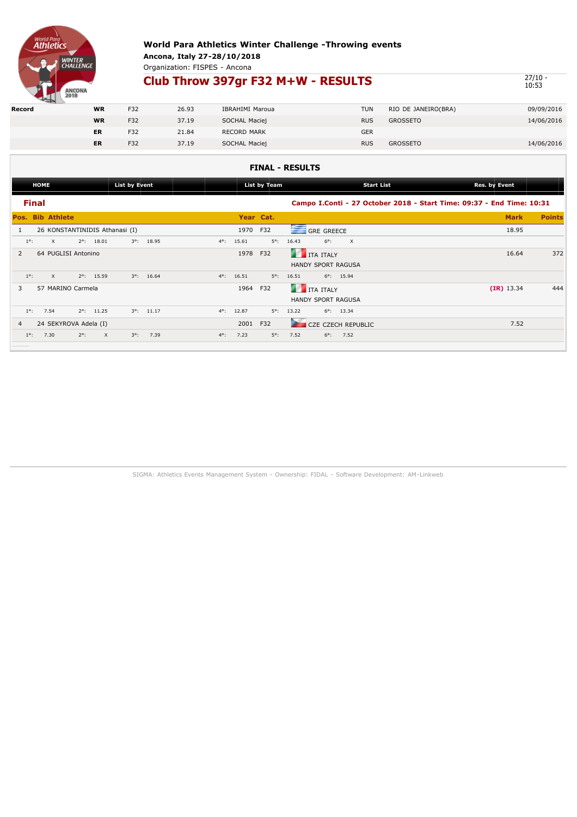

# **World Para Athletics Winter Challenge -Throwing events**

**Ancona, Italy 27-28/10/2018** Organization: FISPES - Ancona

## **Club Throw 397gr F32 M+W - RESULTS**

 $\frac{27}{10.53}$ 

|        | <b>PERSONAL PROPERTY</b> |           |     |       |                    |            |                     |            |
|--------|--------------------------|-----------|-----|-------|--------------------|------------|---------------------|------------|
| Record |                          | <b>WR</b> | F32 | 26.93 | IBRAHIMI Maroua    | <b>TUN</b> | RIO DE JANEIRO(BRA) | 09/09/2016 |
|        |                          | <b>WR</b> | F32 | 37.19 | SOCHAL Maciej      | <b>RUS</b> | <b>GROSSETO</b>     | 14/06/2016 |
|        |                          | <b>ER</b> | F32 | 21.84 | <b>RECORD MARK</b> | <b>GER</b> |                     |            |
|        |                          | <b>ER</b> | F32 | 37.19 | SOCHAL Maciej      | <b>RUS</b> | <b>GROSSETO</b>     | 14/06/2016 |

### **FINAL - RESULTS**

| Campo I.Conti - 27 October 2018 - Start Time: 09:37 - End Time: 10:31 |
|-----------------------------------------------------------------------|
|                                                                       |
| <b>Points</b>                                                         |
|                                                                       |
|                                                                       |
| 372                                                                   |
|                                                                       |
|                                                                       |
| 444                                                                   |
|                                                                       |
|                                                                       |
|                                                                       |
|                                                                       |
| <b>Mark</b><br>18.95<br>16.64<br>$(IR)$ 13.34<br>7.52                 |